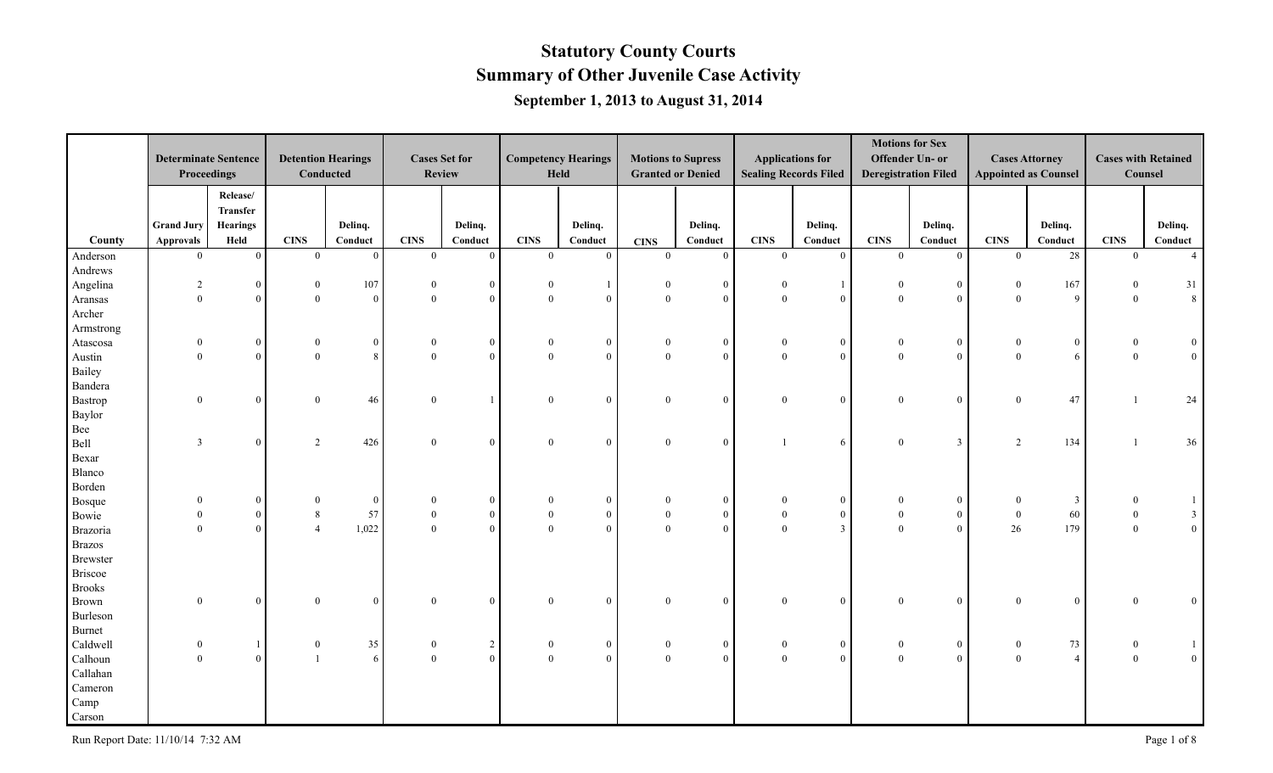|                     | <b>Determinate Sentence</b><br>Proceedings |                         | <b>Detention Hearings</b><br>Conducted |               |                  | <b>Cases Set for</b><br><b>Review</b> |                         | <b>Competency Hearings</b><br>Held |                               | <b>Motions to Supress</b><br><b>Granted or Denied</b> |                | <b>Applications for</b><br><b>Sealing Records Filed</b> |                               | <b>Motions for Sex</b><br>Offender Un- or<br><b>Deregistration Filed</b> |                               | <b>Cases Attorney</b><br><b>Appointed as Counsel</b> | Counsel                       | <b>Cases with Retained</b>             |
|---------------------|--------------------------------------------|-------------------------|----------------------------------------|---------------|------------------|---------------------------------------|-------------------------|------------------------------------|-------------------------------|-------------------------------------------------------|----------------|---------------------------------------------------------|-------------------------------|--------------------------------------------------------------------------|-------------------------------|------------------------------------------------------|-------------------------------|----------------------------------------|
|                     |                                            | Release/<br>Transfer    |                                        |               |                  |                                       |                         |                                    |                               |                                                       |                |                                                         |                               |                                                                          |                               |                                                      |                               |                                        |
|                     | <b>Grand Jury</b>                          | <b>Hearings</b><br>Held |                                        | Delinq.       | <b>CINS</b>      | Delinq.                               |                         | Delinq.                            |                               | Delinq.                                               | <b>CINS</b>    | Delinq.                                                 |                               | Delinq.                                                                  |                               | Delinq.                                              |                               | Delinq.<br>Conduct                     |
| County              | <b>Approvals</b><br>$\theta$               | $\overline{0}$          | <b>CINS</b><br>$\overline{0}$          | Conduct<br> 0 | $\theta$         | Conduct<br>$\overline{0}$             | <b>CINS</b><br>$\Omega$ | Conduct<br>$\theta$                | <b>CINS</b><br>$\overline{0}$ | Conduct<br>$\theta$                                   | $\theta$       | Conduct<br>$\overline{0}$                               | <b>CINS</b><br>$\overline{0}$ | Conduct<br>$\mathbf{0}$                                                  | <b>CINS</b><br>$\overline{0}$ | Conduct<br>28                                        | <b>CINS</b><br>$\overline{0}$ | $\overline{4}$                         |
| Anderson<br>Andrews |                                            |                         |                                        |               |                  |                                       |                         |                                    |                               |                                                       |                |                                                         |                               |                                                                          |                               |                                                      |                               |                                        |
| Angelina            | 2                                          | $\mathbf{0}$            | $\mathbf{0}$                           | 107           |                  | $\mathbf{0}$                          |                         |                                    | $\mathbf{0}$                  | $\Omega$                                              | $\Omega$       | $\mathbf{1}$                                            | $\theta$                      | $\bf{0}$                                                                 | $\bf{0}$                      | 167                                                  | $\theta$                      | 31                                     |
| Aransas             | $\Omega$                                   | $\overline{0}$          | $\overline{0}$                         | $\mathbf{0}$  | $\Omega$         | $\overline{0}$                        | $\overline{0}$          | $\mathbf{0}$                       | $\overline{0}$                | $\Omega$                                              | $\mathbf{0}$   | $\overline{0}$                                          | $\Omega$                      | $\mathbf{0}$                                                             | $\overline{0}$                | 9                                                    | $\overline{0}$                | 8                                      |
| Archer              |                                            |                         |                                        |               |                  |                                       |                         |                                    |                               |                                                       |                |                                                         |                               |                                                                          |                               |                                                      |                               |                                        |
| Armstrong           |                                            |                         |                                        |               |                  |                                       |                         |                                    |                               |                                                       |                |                                                         |                               |                                                                          |                               |                                                      |                               |                                        |
| Atascosa            | $\bf{0}$                                   | $\overline{0}$          | $\overline{0}$                         | $\Omega$      | $\theta$         | $\overline{0}$                        | $\theta$                | $\overline{0}$                     | $\overline{0}$                | $\overline{0}$                                        | $\overline{0}$ | $\overline{0}$                                          | $\overline{0}$                | $\bf{0}$                                                                 | $\bf{0}$                      | $\overline{0}$                                       | $\theta$                      | $\overline{0}$                         |
| Austin              | $\theta$                                   | $\theta$                | $\theta$                               | $\mathbf{8}$  | $\theta$         | $\overline{0}$                        | $\theta$                | $\mathbf{0}$                       | $\mathbf{0}$                  | $\theta$                                              | $\mathbf{0}$   | $\overline{0}$                                          | $\theta$                      | $\mathbf{0}$                                                             | $\theta$                      | 6                                                    | $\overline{0}$                | 0 <sup>1</sup>                         |
| Bailey              |                                            |                         |                                        |               |                  |                                       |                         |                                    |                               |                                                       |                |                                                         |                               |                                                                          |                               |                                                      |                               |                                        |
| Bandera             |                                            |                         |                                        |               |                  |                                       |                         |                                    |                               |                                                       |                |                                                         |                               |                                                                          |                               |                                                      |                               |                                        |
| Bastrop             | $\theta$                                   | $\theta$                | $\overline{0}$                         | 46            | $\Omega$         |                                       | $\Omega$                | $\overline{0}$                     | $\overline{0}$                | $\Omega$                                              | $\Omega$       | $\overline{0}$                                          | $\Omega$                      | $\mathbf{0}$                                                             | $\mathbf{0}$                  | 47                                                   |                               | 24                                     |
| Baylor              |                                            |                         |                                        |               |                  |                                       |                         |                                    |                               |                                                       |                |                                                         |                               |                                                                          |                               |                                                      |                               |                                        |
| Bee                 |                                            |                         |                                        |               |                  |                                       |                         |                                    |                               |                                                       |                |                                                         |                               |                                                                          |                               |                                                      |                               |                                        |
| Bell                | $\overline{3}$                             | $\overline{0}$          | 2                                      | 426           | $\theta$         | $\mathbf{0}$                          | $\overline{0}$          | $\overline{0}$                     | $\overline{0}$                | $\Omega$                                              |                | 6                                                       | $\Omega$                      | $\overline{3}$                                                           | 2                             | 134                                                  |                               | 36                                     |
| Bexar               |                                            |                         |                                        |               |                  |                                       |                         |                                    |                               |                                                       |                |                                                         |                               |                                                                          |                               |                                                      |                               |                                        |
| Blanco              |                                            |                         |                                        |               |                  |                                       |                         |                                    |                               |                                                       |                |                                                         |                               |                                                                          |                               |                                                      |                               |                                        |
| Borden              |                                            |                         |                                        |               |                  |                                       |                         |                                    |                               |                                                       |                |                                                         |                               |                                                                          |                               |                                                      |                               |                                        |
| Bosque              | $\theta$                                   | $\mathbf{0}$            | $\mathbf{0}$                           | $\mathbf{0}$  | $\theta$         | $\mathbf{0}$                          | $\Omega$                | $\mathbf{0}$                       | $\Omega$                      | $\Omega$                                              | $\theta$       | $\overline{0}$                                          | $\Omega$                      | $\boldsymbol{0}$                                                         | $\mathbf{0}$                  | $\mathbf{3}$                                         | $\theta$                      | $\mathbf{1}$                           |
| Bowie               |                                            | $\mathbf{0}$            | $\,8\,$                                | 57            | $\boldsymbol{0}$ | $\overline{0}$                        | $\mathbf{0}$            | $\boldsymbol{0}$                   | $\mathbf{0}$                  | $\overline{0}$                                        | $\mathbf{0}$   | $\overline{0}$                                          | $\overline{0}$                | $\boldsymbol{0}$                                                         | $\boldsymbol{0}$              | $60\,$                                               | $\overline{0}$                |                                        |
| Brazoria            | $\theta$                                   | $\mathbf{0}$            | $\overline{4}$                         | 1,022         | $\mathbf{0}$     | $\overline{0}$                        | $\theta$                | $\mathbf{0}$                       | $\mathbf{0}$                  | $\theta$                                              | $\mathbf{0}$   | $\mathbf{3}$                                            | $\theta$                      | $\mathbf{0}$                                                             | 26                            | 179                                                  | $\mathbf{0}$                  | $\begin{bmatrix} 3 \\ 0 \end{bmatrix}$ |
| <b>Brazos</b>       |                                            |                         |                                        |               |                  |                                       |                         |                                    |                               |                                                       |                |                                                         |                               |                                                                          |                               |                                                      |                               |                                        |
| Brewster            |                                            |                         |                                        |               |                  |                                       |                         |                                    |                               |                                                       |                |                                                         |                               |                                                                          |                               |                                                      |                               |                                        |
| <b>Briscoe</b>      |                                            |                         |                                        |               |                  |                                       |                         |                                    |                               |                                                       |                |                                                         |                               |                                                                          |                               |                                                      |                               |                                        |
| <b>Brooks</b>       |                                            |                         |                                        |               |                  |                                       |                         |                                    |                               |                                                       |                |                                                         |                               |                                                                          |                               |                                                      |                               |                                        |
| Brown               | $\theta$                                   | $\overline{0}$          | $\theta$                               | $\Omega$      | $\Omega$         | $\overline{0}$                        | $\theta$                | $\overline{0}$                     | $\mathbf{0}$                  | $\theta$                                              | $\theta$       | $\overline{0}$                                          | $\Omega$                      | $\mathbf{0}$                                                             | $\mathbf{0}$                  | $\overline{0}$                                       | $\Omega$                      | $\overline{0}$                         |
| Burleson            |                                            |                         |                                        |               |                  |                                       |                         |                                    |                               |                                                       |                |                                                         |                               |                                                                          |                               |                                                      |                               |                                        |
| Burnet              |                                            |                         |                                        |               |                  |                                       |                         |                                    |                               |                                                       |                |                                                         |                               |                                                                          |                               |                                                      |                               |                                        |
| Caldwell            | $\theta$                                   |                         | $\boldsymbol{0}$                       | 35            | $\mathbf{0}$     | $\overline{a}$                        | $\overline{0}$          | $\overline{0}$                     | $\overline{0}$                | $\bf{0}$                                              | $\overline{0}$ | $\mathbf{0}$                                            | $\overline{0}$                | $\bf{0}$                                                                 | $\boldsymbol{0}$              | 73                                                   | $\bf{0}$                      |                                        |
| Calhoun             | $\Omega$                                   | $\overline{0}$          | $\overline{1}$                         | 6             | $\theta$         | $\overline{0}$                        | $\theta$                | $\mathbf{0}$                       | $\theta$                      | $\theta$                                              | $\mathbf{0}$   | $\overline{0}$                                          | $\theta$                      | $\mathbf{0}$                                                             | $\theta$                      | $\overline{4}$                                       | $\overline{0}$                | $\overline{0}$                         |
| Callahan            |                                            |                         |                                        |               |                  |                                       |                         |                                    |                               |                                                       |                |                                                         |                               |                                                                          |                               |                                                      |                               |                                        |
| Cameron             |                                            |                         |                                        |               |                  |                                       |                         |                                    |                               |                                                       |                |                                                         |                               |                                                                          |                               |                                                      |                               |                                        |
| Camp                |                                            |                         |                                        |               |                  |                                       |                         |                                    |                               |                                                       |                |                                                         |                               |                                                                          |                               |                                                      |                               |                                        |
| Carson              |                                            |                         |                                        |               |                  |                                       |                         |                                    |                               |                                                       |                |                                                         |                               |                                                                          |                               |                                                      |                               |                                        |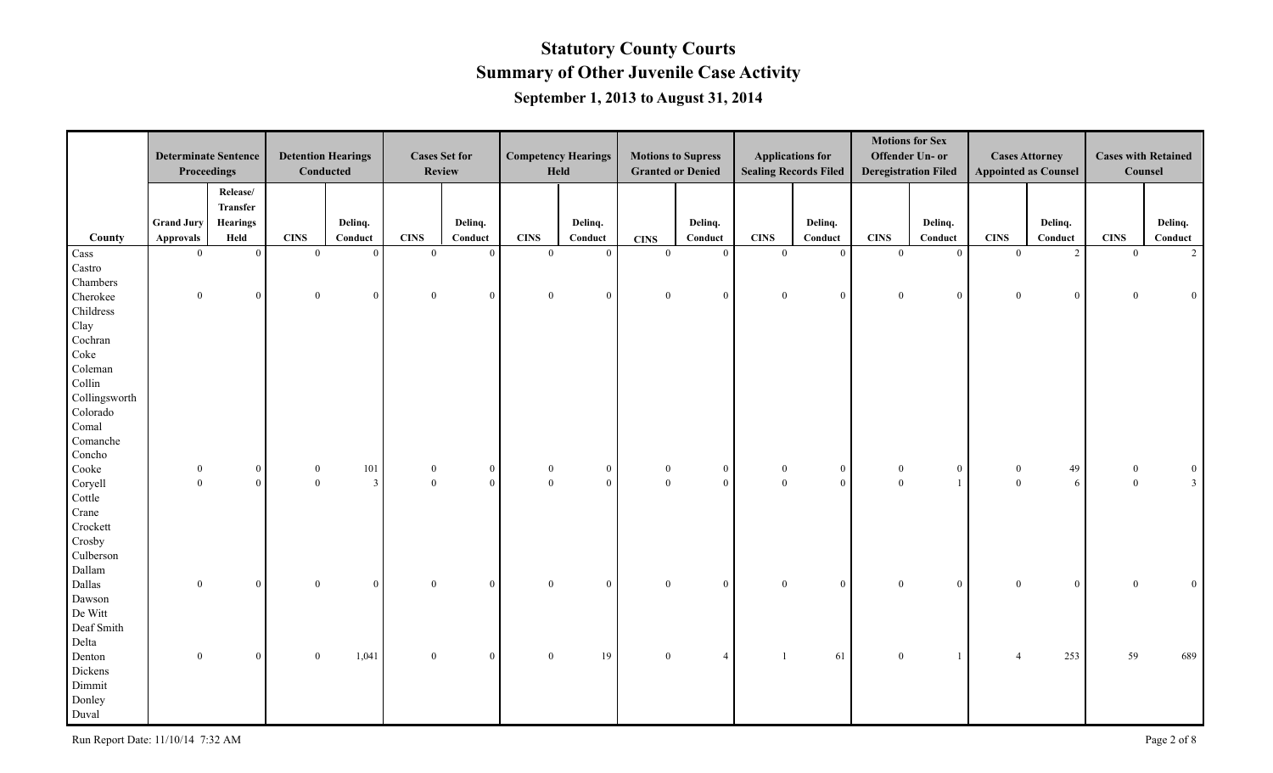|               | <b>Determinate Sentence</b><br>Proceedings |                         |                  | <b>Detention Hearings</b><br><b>Conducted</b> |                          | <b>Cases Set for</b><br><b>Review</b> |                | <b>Competency Hearings</b><br>Held |                                    | <b>Motions to Supress</b><br><b>Granted or Denied</b> |                          | <b>Applications for</b><br><b>Sealing Records Filed</b> |                            | <b>Motions for Sex</b><br>Offender Un- or<br><b>Deregistration Filed</b> |                                    | <b>Cases Attorney</b><br><b>Appointed as Counsel</b> | <b>Cases with Retained</b><br>Counsel |                    |
|---------------|--------------------------------------------|-------------------------|------------------|-----------------------------------------------|--------------------------|---------------------------------------|----------------|------------------------------------|------------------------------------|-------------------------------------------------------|--------------------------|---------------------------------------------------------|----------------------------|--------------------------------------------------------------------------|------------------------------------|------------------------------------------------------|---------------------------------------|--------------------|
|               |                                            | Release/<br>Transfer    |                  |                                               |                          |                                       |                |                                    |                                    |                                                       |                          |                                                         |                            |                                                                          |                                    |                                                      |                                       |                    |
| County        | <b>Grand Jury</b><br><b>Approvals</b>      | <b>Hearings</b><br>Held | <b>CINS</b>      | Delinq.<br>Conduct                            | <b>CINS</b>              | Delinq.<br>Conduct                    | <b>CINS</b>    | Delinq.<br>Conduct                 |                                    | Delinq.<br>Conduct                                    | <b>CINS</b>              | Delinq.<br>Conduct                                      | <b>CINS</b>                | Delinq.<br>Conduct                                                       | <b>CINS</b>                        | Delinq.<br>Conduct                                   | <b>CINS</b>                           | Delinq.<br>Conduct |
| Cass          | $\overline{0}$                             | $\mathbf{0}$            | $\mathbf{0}$     | $\vert 0 \vert$                               | $\overline{0}$           | $\overline{0}$                        | $\theta$       | $\theta$                           | <b>CINS</b><br>$\overline{0}$      | $\theta$                                              | $\overline{0}$           | $\overline{0}$                                          | $\theta$                   | $\mathbf{0}$                                                             | $\mathbf{0}$                       | $\overline{2}$                                       | $\overline{0}$                        | $\overline{2}$     |
| Castro        |                                            |                         |                  |                                               |                          |                                       |                |                                    |                                    |                                                       |                          |                                                         |                            |                                                                          |                                    |                                                      |                                       |                    |
| Chambers      |                                            |                         |                  |                                               |                          |                                       |                |                                    |                                    |                                                       |                          |                                                         |                            |                                                                          |                                    |                                                      |                                       |                    |
|               | $\overline{0}$                             | $\mathbf{0}$            | $\overline{0}$   | $\theta$                                      | $\mathbf{0}$             | $\overline{0}$                        | $\mathbf{0}$   | $\mathbf{0}$                       | $\boldsymbol{0}$                   | $\theta$                                              | $\mathbf{0}$             | $\overline{0}$                                          | $\overline{0}$             | $\mathbf{0}$                                                             | $\boldsymbol{0}$                   | $\overline{0}$                                       | $\overline{0}$                        | $\mathbf{0}$       |
| Cherokee      |                                            |                         |                  |                                               |                          |                                       |                |                                    |                                    |                                                       |                          |                                                         |                            |                                                                          |                                    |                                                      |                                       |                    |
| Childress     |                                            |                         |                  |                                               |                          |                                       |                |                                    |                                    |                                                       |                          |                                                         |                            |                                                                          |                                    |                                                      |                                       |                    |
| Clay          |                                            |                         |                  |                                               |                          |                                       |                |                                    |                                    |                                                       |                          |                                                         |                            |                                                                          |                                    |                                                      |                                       |                    |
| Cochran       |                                            |                         |                  |                                               |                          |                                       |                |                                    |                                    |                                                       |                          |                                                         |                            |                                                                          |                                    |                                                      |                                       |                    |
| Coke          |                                            |                         |                  |                                               |                          |                                       |                |                                    |                                    |                                                       |                          |                                                         |                            |                                                                          |                                    |                                                      |                                       |                    |
| Coleman       |                                            |                         |                  |                                               |                          |                                       |                |                                    |                                    |                                                       |                          |                                                         |                            |                                                                          |                                    |                                                      |                                       |                    |
| Collin        |                                            |                         |                  |                                               |                          |                                       |                |                                    |                                    |                                                       |                          |                                                         |                            |                                                                          |                                    |                                                      |                                       |                    |
| Collingsworth |                                            |                         |                  |                                               |                          |                                       |                |                                    |                                    |                                                       |                          |                                                         |                            |                                                                          |                                    |                                                      |                                       |                    |
| Colorado      |                                            |                         |                  |                                               |                          |                                       |                |                                    |                                    |                                                       |                          |                                                         |                            |                                                                          |                                    |                                                      |                                       |                    |
| Comal         |                                            |                         |                  |                                               |                          |                                       |                |                                    |                                    |                                                       |                          |                                                         |                            |                                                                          |                                    |                                                      |                                       |                    |
| Comanche      |                                            |                         |                  |                                               |                          |                                       |                |                                    |                                    |                                                       |                          |                                                         |                            |                                                                          |                                    |                                                      |                                       |                    |
| Concho        |                                            |                         |                  |                                               |                          |                                       |                |                                    |                                    |                                                       |                          |                                                         |                            |                                                                          |                                    |                                                      |                                       |                    |
| Cooke         | $\boldsymbol{0}$                           | $\bf{0}$                | $\boldsymbol{0}$ | 101                                           | $\bf{0}$<br>$\mathbf{0}$ | $\boldsymbol{0}$                      | $\bf{0}$       | $\bf{0}$<br>$\overline{0}$         | $\boldsymbol{0}$<br>$\overline{0}$ | $\overline{0}$                                        | $\bf{0}$<br>$\mathbf{0}$ | $\bf{0}$                                                | $\overline{0}$<br>$\theta$ | $\mathbf{0}$                                                             | $\boldsymbol{0}$<br>$\overline{0}$ | 49                                                   | $\mathbf{0}$                          | $\bf{0}$           |
| Coryell       | $\overline{0}$                             | $\bf{0}$                | $\overline{0}$   | $\overline{3}$                                |                          | $\overline{0}$                        | $\overline{0}$ |                                    |                                    | $\Omega$                                              |                          | $\mathbf{0}$                                            |                            | $\overline{1}$                                                           |                                    | 6                                                    | $\mathbf{0}$                          | 3 <sup>1</sup>     |
| Cottle        |                                            |                         |                  |                                               |                          |                                       |                |                                    |                                    |                                                       |                          |                                                         |                            |                                                                          |                                    |                                                      |                                       |                    |
| Crane         |                                            |                         |                  |                                               |                          |                                       |                |                                    |                                    |                                                       |                          |                                                         |                            |                                                                          |                                    |                                                      |                                       |                    |
| Crockett      |                                            |                         |                  |                                               |                          |                                       |                |                                    |                                    |                                                       |                          |                                                         |                            |                                                                          |                                    |                                                      |                                       |                    |
| Crosby        |                                            |                         |                  |                                               |                          |                                       |                |                                    |                                    |                                                       |                          |                                                         |                            |                                                                          |                                    |                                                      |                                       |                    |
| Culberson     |                                            |                         |                  |                                               |                          |                                       |                |                                    |                                    |                                                       |                          |                                                         |                            |                                                                          |                                    |                                                      |                                       |                    |
| Dallam        |                                            |                         |                  |                                               |                          |                                       |                |                                    |                                    |                                                       |                          |                                                         |                            |                                                                          |                                    |                                                      |                                       |                    |
| Dallas        | $\overline{0}$                             | $\mathbf{0}$            | $\overline{0}$   | $\vert 0 \vert$                               | $\mathbf{0}$             | $\theta$                              | $\theta$       | $\overline{0}$                     | $\overline{0}$                     | $\Omega$                                              | $\theta$                 | $\overline{0}$                                          | $\theta$                   | $\overline{0}$                                                           | $\mathbf{0}$                       | $\overline{0}$                                       | $\Omega$                              | $\overline{0}$     |
| Dawson        |                                            |                         |                  |                                               |                          |                                       |                |                                    |                                    |                                                       |                          |                                                         |                            |                                                                          |                                    |                                                      |                                       |                    |
| De Witt       |                                            |                         |                  |                                               |                          |                                       |                |                                    |                                    |                                                       |                          |                                                         |                            |                                                                          |                                    |                                                      |                                       |                    |
| Deaf Smith    |                                            |                         |                  |                                               |                          |                                       |                |                                    |                                    |                                                       |                          |                                                         |                            |                                                                          |                                    |                                                      |                                       |                    |
| Delta         |                                            |                         |                  |                                               |                          |                                       |                |                                    |                                    |                                                       |                          |                                                         |                            |                                                                          |                                    |                                                      |                                       |                    |
| Denton        | $\theta$                                   | $\mathbf{0}$            | $\overline{0}$   | 1,041                                         | $\mathbf{0}$             | $\overline{0}$                        | $\overline{0}$ | 19                                 | $\overline{0}$                     | $\overline{4}$                                        | $\mathbf{1}$             | 61                                                      | $\theta$                   |                                                                          | $\overline{4}$                     | 253                                                  | 59                                    | 689                |
| Dickens       |                                            |                         |                  |                                               |                          |                                       |                |                                    |                                    |                                                       |                          |                                                         |                            |                                                                          |                                    |                                                      |                                       |                    |
| Dimmit        |                                            |                         |                  |                                               |                          |                                       |                |                                    |                                    |                                                       |                          |                                                         |                            |                                                                          |                                    |                                                      |                                       |                    |
| Donley        |                                            |                         |                  |                                               |                          |                                       |                |                                    |                                    |                                                       |                          |                                                         |                            |                                                                          |                                    |                                                      |                                       |                    |
| Duval         |                                            |                         |                  |                                               |                          |                                       |                |                                    |                                    |                                                       |                          |                                                         |                            |                                                                          |                                    |                                                      |                                       |                    |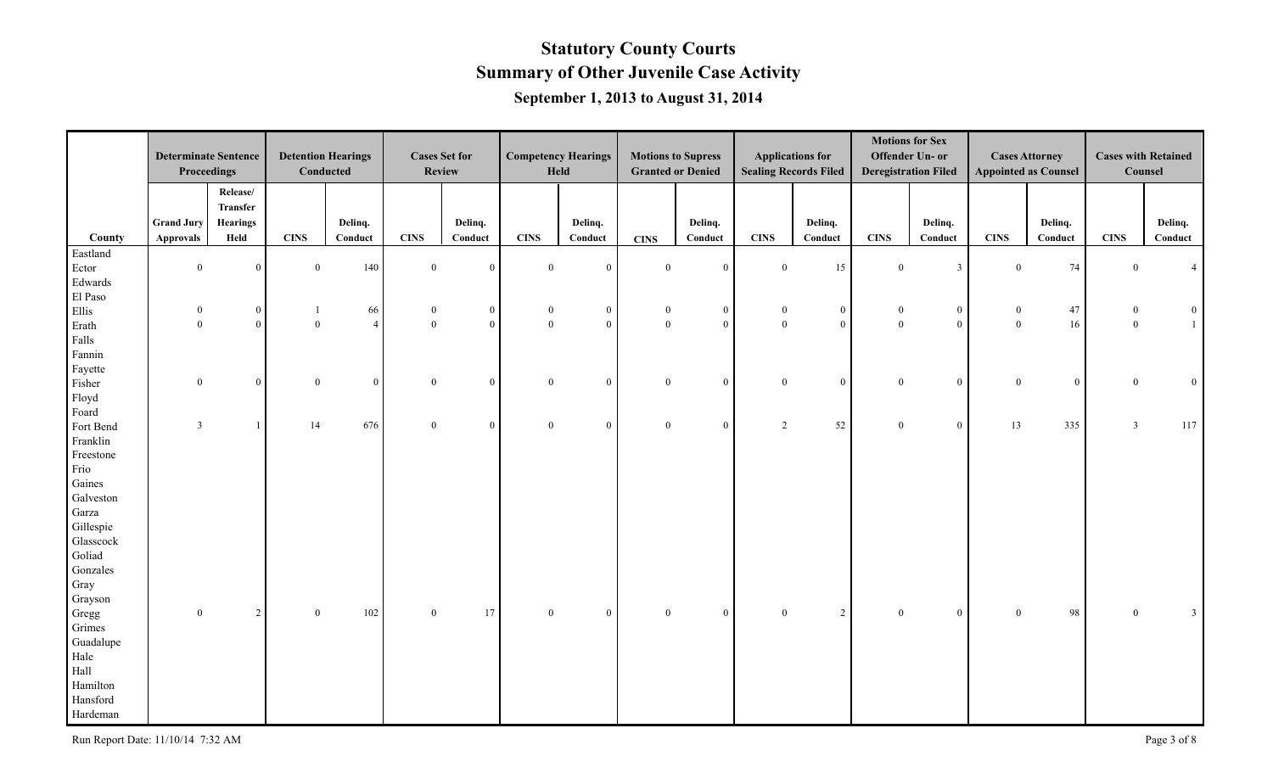|                | <b>Determinate Sentence</b>    |                                | <b>Detention Hearings</b> |                      |                                      | <b>Cases Set for</b>           |                                  | <b>Competency Hearings</b>     |                                  | <b>Motions to Supress</b> |                              | <b>Applications for</b>          |                                  | <b>Motions for Sex</b><br>Offender Un- or |                                  | <b>Cases Attorney</b>       | <b>Cases with Retained</b> |                     |
|----------------|--------------------------------|--------------------------------|---------------------------|----------------------|--------------------------------------|--------------------------------|----------------------------------|--------------------------------|----------------------------------|---------------------------|------------------------------|----------------------------------|----------------------------------|-------------------------------------------|----------------------------------|-----------------------------|----------------------------|---------------------|
|                | Proceedings                    |                                |                           | Conducted            |                                      | <b>Review</b>                  |                                  | Held                           |                                  | <b>Granted or Denied</b>  |                              | <b>Sealing Records Filed</b>     |                                  | <b>Deregistration Filed</b>               |                                  | <b>Appointed as Counsel</b> | Counsel                    |                     |
|                |                                | Release/<br>Transfer           |                           |                      |                                      |                                |                                  |                                |                                  |                           |                              |                                  |                                  |                                           |                                  |                             |                            |                     |
|                | <b>Grand Jury</b>              | Hearings                       |                           | Delinq.              |                                      | Delinq.                        |                                  | Delinq.                        |                                  | Delinq.                   |                              | Delinq.                          |                                  | Delinq.                                   |                                  | Delinq.                     |                            | Delinq.             |
| County         | <b>Approvals</b>               | Held                           | <b>CINS</b>               | Conduct              | <b>CINS</b>                          | Conduct                        | <b>CINS</b>                      | Conduct                        | <b>CINS</b>                      | Conduct                   | <b>CINS</b>                  | Conduct                          | <b>CINS</b>                      | Conduct                                   | <b>CINS</b>                      | Conduct                     | <b>CINS</b>                | Conduct             |
| Eastland       | $\overline{0}$                 | $\mathbf{0}$                   | $\mathbf{0}$              | 140                  | $\boldsymbol{0}$                     | $\overline{0}$                 | $\overline{0}$                   | $\overline{0}$                 | $\overline{0}$                   | $\overline{0}$            | $\overline{0}$               | 15                               | $\overline{0}$                   | $\overline{\mathbf{3}}$                   | $\mathbf{0}$                     | 74                          | $\overline{0}$             |                     |
| Ector          |                                |                                |                           |                      |                                      |                                |                                  |                                |                                  |                           |                              |                                  |                                  |                                           |                                  |                             |                            |                     |
| Edwards        |                                |                                |                           |                      |                                      |                                |                                  |                                |                                  |                           |                              |                                  |                                  |                                           |                                  |                             |                            |                     |
| El Paso        |                                |                                |                           |                      |                                      |                                |                                  |                                |                                  | $\overline{0}$            |                              |                                  |                                  |                                           |                                  |                             | $\mathbf{0}$               |                     |
| Ellis          | $\overline{0}$<br>$\mathbf{0}$ | $\mathbf{0}$<br>$\overline{0}$ | -1<br>$\mathbf{0}$        | 66<br>$\overline{4}$ | $\boldsymbol{0}$<br>$\boldsymbol{0}$ | $\mathbf{0}$<br>$\overline{0}$ | $\overline{0}$<br>$\overline{0}$ | $\mathbf{0}$<br>$\overline{0}$ | $\overline{0}$<br>$\overline{0}$ | $\theta$                  | $\mathbf{0}$<br>$\mathbf{0}$ | $\overline{0}$<br>$\overline{0}$ | $\overline{0}$<br>$\overline{0}$ | $\bf{0}$<br>$\mathbf{0}$                  | $\boldsymbol{0}$<br>$\mathbf{0}$ | 47<br>16                    | $\overline{0}$             | $\overline{0}$<br>1 |
| Erath<br>Falls |                                |                                |                           |                      |                                      |                                |                                  |                                |                                  |                           |                              |                                  |                                  |                                           |                                  |                             |                            |                     |
| Fannin         |                                |                                |                           |                      |                                      |                                |                                  |                                |                                  |                           |                              |                                  |                                  |                                           |                                  |                             |                            |                     |
| Fayette        |                                |                                |                           |                      |                                      |                                |                                  |                                |                                  |                           |                              |                                  |                                  |                                           |                                  |                             |                            |                     |
| Fisher         | $\mathbf{0}$                   | $\mathbf{0}$                   | $\overline{0}$            | $\theta$             | $\mathbf{0}$                         | $\overline{0}$                 | $\overline{0}$                   | $\mathbf{0}$                   | $\overline{0}$                   | $\overline{0}$            | $\mathbf{0}$                 | $\overline{0}$                   | $\overline{0}$                   | $\mathbf{0}$                              | $\mathbf{0}$                     | $\overline{0}$              | $\mathbf{0}$               | $\overline{0}$      |
| Floyd          |                                |                                |                           |                      |                                      |                                |                                  |                                |                                  |                           |                              |                                  |                                  |                                           |                                  |                             |                            |                     |
| Foard          |                                |                                |                           |                      |                                      |                                |                                  |                                |                                  |                           |                              |                                  |                                  |                                           |                                  |                             |                            |                     |
| Fort Bend      | $\overline{3}$                 |                                | 14                        | 676                  | $\mathbf{0}$                         | $\overline{0}$                 | $\overline{0}$                   | $\overline{0}$                 | $\overline{0}$                   | $\theta$                  | 2                            | 52                               | $\overline{0}$                   | $\bf{0}$                                  | 13                               | 335                         | $\overline{3}$             | 117                 |
| Franklin       |                                |                                |                           |                      |                                      |                                |                                  |                                |                                  |                           |                              |                                  |                                  |                                           |                                  |                             |                            |                     |
| Freestone      |                                |                                |                           |                      |                                      |                                |                                  |                                |                                  |                           |                              |                                  |                                  |                                           |                                  |                             |                            |                     |
| Frio           |                                |                                |                           |                      |                                      |                                |                                  |                                |                                  |                           |                              |                                  |                                  |                                           |                                  |                             |                            |                     |
| Gaines         |                                |                                |                           |                      |                                      |                                |                                  |                                |                                  |                           |                              |                                  |                                  |                                           |                                  |                             |                            |                     |
| Galveston      |                                |                                |                           |                      |                                      |                                |                                  |                                |                                  |                           |                              |                                  |                                  |                                           |                                  |                             |                            |                     |
| Garza          |                                |                                |                           |                      |                                      |                                |                                  |                                |                                  |                           |                              |                                  |                                  |                                           |                                  |                             |                            |                     |
| Gillespie      |                                |                                |                           |                      |                                      |                                |                                  |                                |                                  |                           |                              |                                  |                                  |                                           |                                  |                             |                            |                     |
| Glasscock      |                                |                                |                           |                      |                                      |                                |                                  |                                |                                  |                           |                              |                                  |                                  |                                           |                                  |                             |                            |                     |
| Goliad         |                                |                                |                           |                      |                                      |                                |                                  |                                |                                  |                           |                              |                                  |                                  |                                           |                                  |                             |                            |                     |
| Gonzales       |                                |                                |                           |                      |                                      |                                |                                  |                                |                                  |                           |                              |                                  |                                  |                                           |                                  |                             |                            |                     |
| Gray           |                                |                                |                           |                      |                                      |                                |                                  |                                |                                  |                           |                              |                                  |                                  |                                           |                                  |                             |                            |                     |
| Grayson        |                                |                                |                           |                      |                                      |                                |                                  |                                |                                  |                           |                              |                                  |                                  |                                           |                                  |                             |                            |                     |
| Gregg          | $\theta$                       | 2                              | $\overline{0}$            | 102                  | $\overline{0}$                       | 17                             | $\overline{0}$                   | $\boldsymbol{0}$               | $\overline{0}$                   | $\overline{0}$            | $\theta$                     | $\overline{2}$                   | $\theta$                         | $\mathbf{0}$                              | $\mathbf{0}$                     | 98                          | $\theta$                   | $\mathbf{3}$        |
| Grimes         |                                |                                |                           |                      |                                      |                                |                                  |                                |                                  |                           |                              |                                  |                                  |                                           |                                  |                             |                            |                     |
| Guadalupe      |                                |                                |                           |                      |                                      |                                |                                  |                                |                                  |                           |                              |                                  |                                  |                                           |                                  |                             |                            |                     |
| Hale           |                                |                                |                           |                      |                                      |                                |                                  |                                |                                  |                           |                              |                                  |                                  |                                           |                                  |                             |                            |                     |
| Hall           |                                |                                |                           |                      |                                      |                                |                                  |                                |                                  |                           |                              |                                  |                                  |                                           |                                  |                             |                            |                     |
| Hamilton       |                                |                                |                           |                      |                                      |                                |                                  |                                |                                  |                           |                              |                                  |                                  |                                           |                                  |                             |                            |                     |
| Hansford       |                                |                                |                           |                      |                                      |                                |                                  |                                |                                  |                           |                              |                                  |                                  |                                           |                                  |                             |                            |                     |
| Hardeman       |                                |                                |                           |                      |                                      |                                |                                  |                                |                                  |                           |                              |                                  |                                  |                                           |                                  |                             |                            |                     |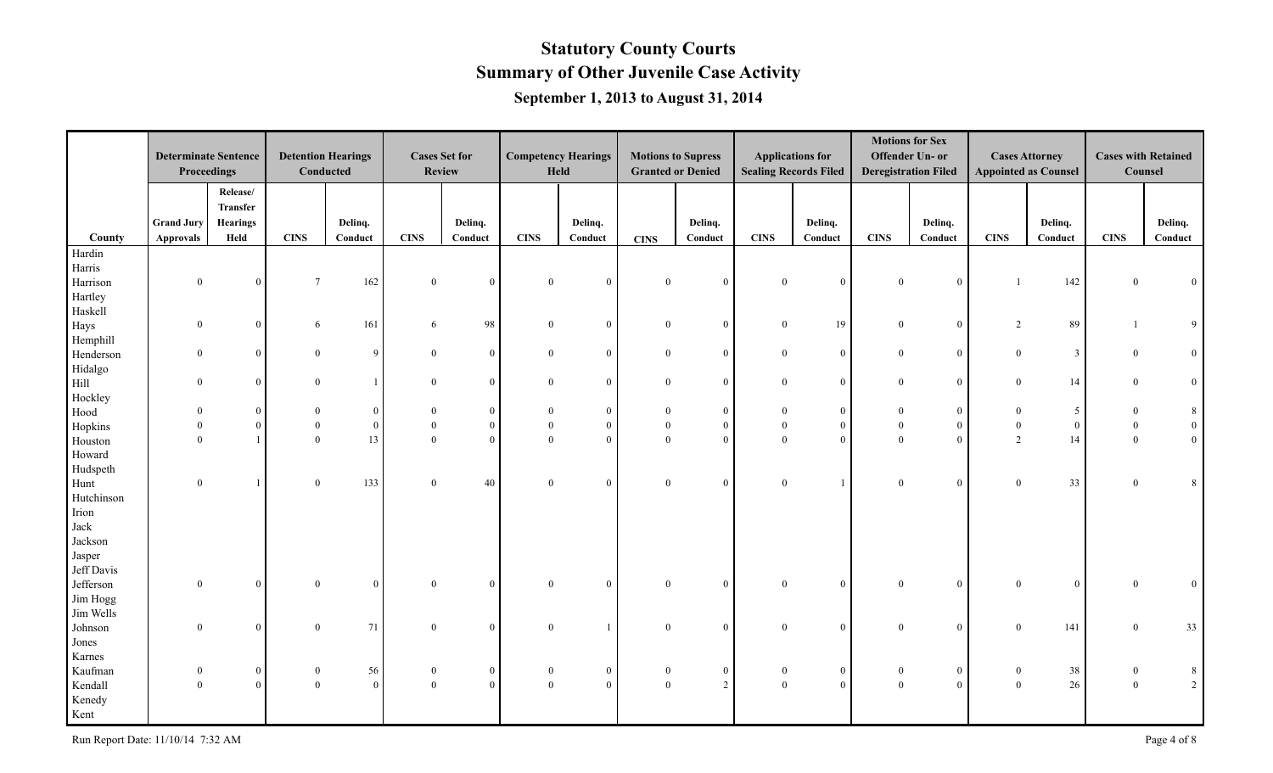|                  | <b>Determinate Sentence</b> |                                         | <b>Detention Hearings</b> |                |                  | <b>Cases Set for</b> |                  | <b>Competency Hearings</b> |                  | <b>Motions to Supress</b> |                | <b>Applications for</b>      |                             | <b>Motions for Sex</b><br>Offender Un- or |                  | <b>Cases Attorney</b>       | <b>Cases with Retained</b> |                 |
|------------------|-----------------------------|-----------------------------------------|---------------------------|----------------|------------------|----------------------|------------------|----------------------------|------------------|---------------------------|----------------|------------------------------|-----------------------------|-------------------------------------------|------------------|-----------------------------|----------------------------|-----------------|
|                  | Proceedings                 |                                         | Conducted                 |                | <b>Review</b>    |                      |                  | Held                       |                  | <b>Granted or Denied</b>  |                | <b>Sealing Records Filed</b> | <b>Deregistration Filed</b> |                                           |                  | <b>Appointed as Counsel</b> | Counsel                    |                 |
|                  | <b>Grand Jury</b>           | Release/<br>Transfer<br><b>Hearings</b> |                           | Deling.        |                  | Delinq.              |                  | Delinq.                    |                  | Deling.                   |                | Delinq.                      |                             | Delinq.                                   |                  | Deling.                     |                            | Delinq.         |
| County           | <b>Approvals</b>            | Held                                    | <b>CINS</b>               | Conduct        | <b>CINS</b>      | Conduct              | <b>CINS</b>      | Conduct                    | <b>CINS</b>      | Conduct                   | <b>CINS</b>    | Conduct                      | <b>CINS</b>                 | Conduct                                   | <b>CINS</b>      | Conduct                     | <b>CINS</b>                | Conduct         |
| Hardin<br>Harris |                             |                                         |                           |                |                  |                      |                  |                            |                  |                           |                |                              |                             |                                           |                  |                             |                            |                 |
| Harrison         | $\overline{0}$              | $\mathbf{0}$                            | $7\phantom{.0}$           | 162            | $\mathbf{0}$     | $\overline{0}$       | $\overline{0}$   | $\overline{0}$             | $\overline{0}$   | $\theta$                  | $\overline{0}$ | $\overline{0}$               | $\overline{0}$              | $\boldsymbol{0}$                          |                  | 142                         | $\theta$                   | $\mathbf{0}$    |
| Hartley          |                             |                                         |                           |                |                  |                      |                  |                            |                  |                           |                |                              |                             |                                           |                  |                             |                            |                 |
| Haskell          |                             |                                         |                           |                |                  |                      |                  |                            |                  |                           |                |                              |                             |                                           |                  |                             |                            |                 |
| Hays             | $\theta$                    | $\overline{0}$                          | 6                         | 161            | -6               | 98                   | $\overline{0}$   | $\overline{0}$             | $\overline{0}$   | $\overline{0}$            | $\overline{0}$ | 19                           | $\overline{0}$              | $\overline{0}$                            | 2                | 89                          |                            | 9               |
| Hemphill         |                             |                                         |                           | $\mathbf{Q}$   |                  |                      |                  |                            |                  |                           |                |                              |                             |                                           |                  |                             |                            |                 |
| Henderson        | $\overline{0}$              | $\overline{0}$                          | $\overline{0}$            |                | $\mathbf{0}$     | $\overline{0}$       | $\overline{0}$   | $\mathbf{0}$               | $\overline{0}$   | $\overline{0}$            | $\mathbf{0}$   | $\overline{0}$               | $\mathbf{0}$                | $\mathbf{0}$                              | $\mathbf{0}$     | $\mathbf{3}$                | $\mathbf{0}$               | $\vert 0 \vert$ |
| Hidalgo<br>Hill  | $\overline{0}$              | $\mathbf{0}$                            | $\mathbf{0}$              |                | $\mathbf{0}$     | $\overline{0}$       | $\mathbf{0}$     | $\mathbf{0}$               | $\mathbf{0}$     | $\mathbf{0}$              | $\mathbf{0}$   | $\overline{0}$               | $\overline{0}$              | $\mathbf{0}$                              | $\mathbf{0}$     | 14                          | $\mathbf{0}$               | $\overline{0}$  |
| Hockley          |                             |                                         |                           |                |                  |                      |                  |                            |                  |                           |                |                              |                             |                                           |                  |                             |                            |                 |
| Hood             | $\theta$                    | $\overline{0}$                          | $\overline{0}$            | $\Omega$       | $\mathbf{0}$     | $\overline{0}$       | $\Omega$         | $\mathbf{0}$               | $\theta$         | $\overline{0}$            | $\Omega$       | $\overline{0}$               | $\theta$                    | $\mathbf{0}$                              | $\mathbf{0}$     | 5 <sup>5</sup>              | $\theta$                   | $\bf 8$         |
| Hopkins          | $\Omega$                    | $\overline{0}$                          | $\theta$                  | $\overline{0}$ | $\mathbf{0}$     | $\overline{0}$       | $\overline{0}$   | $\mathbf{0}$               | $\overline{0}$   | $\Omega$                  | $\mathbf{0}$   | $\overline{0}$               | $\overline{0}$              | $\boldsymbol{0}$                          | $\boldsymbol{0}$ | $\mathbf{0}$                | $\overline{0}$             | $\vert 0 \vert$ |
| Houston          | $\Omega$                    | $\overline{1}$                          | $\mathbf{0}$              | 13             | $\theta$         | $\overline{0}$       | $\theta$         | $\overline{0}$             | $\theta$         | $\Omega$                  | $\theta$       | $\overline{0}$               | $\theta$                    | $\mathbf{0}$                              | $\overline{2}$   | 14                          | $\overline{0}$             | $\vert$ 0       |
| Howard           |                             |                                         |                           |                |                  |                      |                  |                            |                  |                           |                |                              |                             |                                           |                  |                             |                            |                 |
| Hudspeth         |                             |                                         |                           |                |                  |                      |                  |                            |                  |                           |                |                              |                             |                                           |                  |                             |                            |                 |
| Hunt             | $\theta$                    |                                         | $\overline{0}$            | 133            | $\mathbf{0}$     | 40                   | $\overline{0}$   | $\mathbf{0}$               | $\overline{0}$   | $\overline{0}$            | $\overline{0}$ | $\mathbf{1}$                 | $\overline{0}$              | $\mathbf{0}$                              | $\overline{0}$   | 33                          | $\theta$                   | 8               |
| Hutchinson       |                             |                                         |                           |                |                  |                      |                  |                            |                  |                           |                |                              |                             |                                           |                  |                             |                            |                 |
| Irion            |                             |                                         |                           |                |                  |                      |                  |                            |                  |                           |                |                              |                             |                                           |                  |                             |                            |                 |
| Jack             |                             |                                         |                           |                |                  |                      |                  |                            |                  |                           |                |                              |                             |                                           |                  |                             |                            |                 |
| Jackson          |                             |                                         |                           |                |                  |                      |                  |                            |                  |                           |                |                              |                             |                                           |                  |                             |                            |                 |
| Jasper           |                             |                                         |                           |                |                  |                      |                  |                            |                  |                           |                |                              |                             |                                           |                  |                             |                            |                 |
| Jeff Davis       |                             |                                         |                           |                |                  |                      |                  |                            |                  |                           |                |                              |                             |                                           |                  |                             |                            |                 |
| Jefferson        | $\theta$                    | $\overline{0}$                          | $\overline{0}$            | $\Omega$       | $\theta$         | $\overline{0}$       | $\theta$         | $\overline{0}$             | $\overline{0}$   | $\theta$                  | $\theta$       | $\overline{0}$               | $\Omega$                    | $\boldsymbol{0}$                          | $\mathbf{0}$     | $\mathbf{0}$                | $\Omega$                   | $\overline{0}$  |
| Jim Hogg         |                             |                                         |                           |                |                  |                      |                  |                            |                  |                           |                |                              |                             |                                           |                  |                             |                            |                 |
| Jim Wells        |                             |                                         |                           |                |                  |                      |                  |                            |                  |                           |                |                              |                             |                                           |                  |                             |                            |                 |
| Johnson          | $\theta$                    | $\overline{0}$                          | $\boldsymbol{0}$          | 71             | $\theta$         | $\overline{0}$       | $\overline{0}$   |                            | $\mathbf{0}$     | $\theta$                  | $\theta$       | $\overline{0}$               | $\Omega$                    | $\mathbf{0}$                              | $\mathbf{0}$     | 141                         | $\theta$                   | 33              |
| Jones            |                             |                                         |                           |                |                  |                      |                  |                            |                  |                           |                |                              |                             |                                           |                  |                             |                            |                 |
| Karnes           |                             |                                         |                           |                |                  |                      |                  |                            |                  |                           |                |                              |                             |                                           |                  |                             |                            |                 |
| Kaufman          |                             | $\mathbf{0}$                            | $\boldsymbol{0}$          | 56             | $\boldsymbol{0}$ | $\mathbf{0}$         | $\boldsymbol{0}$ | $\boldsymbol{0}$           | $\boldsymbol{0}$ | $\overline{0}$            | $\bf{0}$       | $\mathbf{0}$                 | $\bf{0}$                    | $\boldsymbol{0}$                          | $\boldsymbol{0}$ | 38                          |                            | 8               |
| Kendall          | $\mathbf{0}$                | $\mathbf{0}$                            | $\overline{0}$            | 0              | $\boldsymbol{0}$ | $\overline{0}$       | $\mathbf{0}$     | $\boldsymbol{0}$           | $\mathbf{0}$     | $\overline{2}$            | $\mathbf{0}$   | $\overline{0}$               | $\overline{0}$              | $\mathbf{0}$                              | $\boldsymbol{0}$ | 26                          | $\bf{0}$                   | $\overline{2}$  |
| Kenedy           |                             |                                         |                           |                |                  |                      |                  |                            |                  |                           |                |                              |                             |                                           |                  |                             |                            |                 |
| Kent             |                             |                                         |                           |                |                  |                      |                  |                            |                  |                           |                |                              |                             |                                           |                  |                             |                            |                 |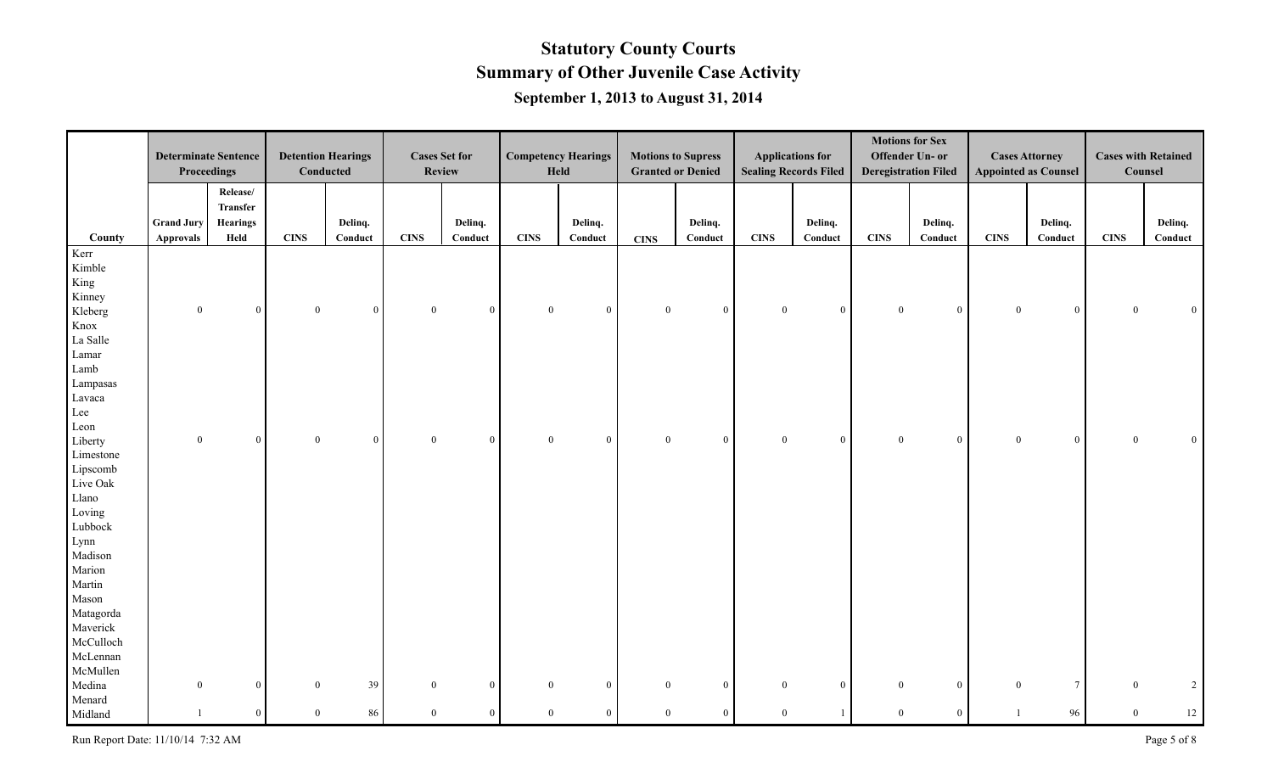|                | <b>Determinate Sentence</b><br>Proceedings |                                         |                | <b>Detention Hearings</b><br>Conducted |                | <b>Cases Set for</b><br><b>Review</b> |                | <b>Competency Hearings</b><br>Held |                | <b>Motions to Supress</b><br><b>Granted or Denied</b> |              | <b>Applications for</b><br><b>Sealing Records Filed</b> |                | <b>Motions for Sex</b><br>Offender Un- or<br><b>Deregistration Filed</b> |                | <b>Cases Attorney</b><br><b>Appointed as Counsel</b> |                | <b>Cases with Retained</b><br>Counsel |
|----------------|--------------------------------------------|-----------------------------------------|----------------|----------------------------------------|----------------|---------------------------------------|----------------|------------------------------------|----------------|-------------------------------------------------------|--------------|---------------------------------------------------------|----------------|--------------------------------------------------------------------------|----------------|------------------------------------------------------|----------------|---------------------------------------|
|                | <b>Grand Jury</b>                          | Release/<br>Transfer<br><b>Hearings</b> |                | Delinq.                                |                | Delinq.                               |                | Delinq.                            |                | Delinq.                                               |              | Delinq.                                                 |                | Delinq.                                                                  |                | Delinq.                                              |                | Delinq.                               |
| County         | <b>Approvals</b>                           | Held                                    | <b>CINS</b>    | Conduct                                | <b>CINS</b>    | Conduct                               | <b>CINS</b>    | Conduct                            | <b>CINS</b>    | Conduct                                               | <b>CINS</b>  | Conduct                                                 | <b>CINS</b>    | Conduct                                                                  | <b>CINS</b>    | Conduct                                              | <b>CINS</b>    | Conduct                               |
| Kerr<br>Kimble |                                            |                                         |                |                                        |                |                                       |                |                                    |                |                                                       |              |                                                         |                |                                                                          |                |                                                      |                |                                       |
| King           |                                            |                                         |                |                                        |                |                                       |                |                                    |                |                                                       |              |                                                         |                |                                                                          |                |                                                      |                |                                       |
| Kinney         |                                            |                                         |                |                                        |                |                                       |                |                                    |                |                                                       |              |                                                         |                |                                                                          |                |                                                      |                |                                       |
| Kleberg        | $\mathbf{0}$                               | $\bf{0}$                                | $\bf{0}$       | $\overline{0}$                         | $\mathbf{0}$   | $\overline{0}$                        | $\overline{0}$ | $\overline{0}$                     | $\overline{0}$ | $\overline{0}$                                        | $\mathbf{0}$ | $\overline{0}$                                          | $\overline{0}$ | $\mathbf{0}$                                                             | $\overline{0}$ | $\overline{0}$                                       | $\mathbf{0}$   | $\overline{0}$                        |
| Knox           |                                            |                                         |                |                                        |                |                                       |                |                                    |                |                                                       |              |                                                         |                |                                                                          |                |                                                      |                |                                       |
| La Salle       |                                            |                                         |                |                                        |                |                                       |                |                                    |                |                                                       |              |                                                         |                |                                                                          |                |                                                      |                |                                       |
| Lamar          |                                            |                                         |                |                                        |                |                                       |                |                                    |                |                                                       |              |                                                         |                |                                                                          |                |                                                      |                |                                       |
| Lamb           |                                            |                                         |                |                                        |                |                                       |                |                                    |                |                                                       |              |                                                         |                |                                                                          |                |                                                      |                |                                       |
| Lampasas       |                                            |                                         |                |                                        |                |                                       |                |                                    |                |                                                       |              |                                                         |                |                                                                          |                |                                                      |                |                                       |
| Lavaca         |                                            |                                         |                |                                        |                |                                       |                |                                    |                |                                                       |              |                                                         |                |                                                                          |                |                                                      |                |                                       |
| Lee            |                                            |                                         |                |                                        |                |                                       |                |                                    |                |                                                       |              |                                                         |                |                                                                          |                |                                                      |                |                                       |
| Leon           |                                            |                                         |                |                                        |                |                                       |                |                                    |                |                                                       |              |                                                         |                |                                                                          |                |                                                      |                |                                       |
| Liberty        | $\mathbf{0}$                               | $\mathbf{0}$                            | $\overline{0}$ | $\overline{0}$                         | $\mathbf{0}$   | $\overline{0}$                        | $\theta$       | $\overline{0}$                     | $\overline{0}$ | $\overline{0}$                                        | $\mathbf{0}$ | $\mathbf{0}$                                            | $\overline{0}$ | $\mathbf{0}$                                                             | $\overline{0}$ | $\overline{0}$                                       | $\overline{0}$ | $\overline{0}$                        |
| Limestone      |                                            |                                         |                |                                        |                |                                       |                |                                    |                |                                                       |              |                                                         |                |                                                                          |                |                                                      |                |                                       |
| Lipscomb       |                                            |                                         |                |                                        |                |                                       |                |                                    |                |                                                       |              |                                                         |                |                                                                          |                |                                                      |                |                                       |
| Live Oak       |                                            |                                         |                |                                        |                |                                       |                |                                    |                |                                                       |              |                                                         |                |                                                                          |                |                                                      |                |                                       |
| Llano          |                                            |                                         |                |                                        |                |                                       |                |                                    |                |                                                       |              |                                                         |                |                                                                          |                |                                                      |                |                                       |
| Loving         |                                            |                                         |                |                                        |                |                                       |                |                                    |                |                                                       |              |                                                         |                |                                                                          |                |                                                      |                |                                       |
| Lubbock        |                                            |                                         |                |                                        |                |                                       |                |                                    |                |                                                       |              |                                                         |                |                                                                          |                |                                                      |                |                                       |
| Lynn           |                                            |                                         |                |                                        |                |                                       |                |                                    |                |                                                       |              |                                                         |                |                                                                          |                |                                                      |                |                                       |
| Madison        |                                            |                                         |                |                                        |                |                                       |                |                                    |                |                                                       |              |                                                         |                |                                                                          |                |                                                      |                |                                       |
| Marion         |                                            |                                         |                |                                        |                |                                       |                |                                    |                |                                                       |              |                                                         |                |                                                                          |                |                                                      |                |                                       |
| Martin         |                                            |                                         |                |                                        |                |                                       |                |                                    |                |                                                       |              |                                                         |                |                                                                          |                |                                                      |                |                                       |
| Mason          |                                            |                                         |                |                                        |                |                                       |                |                                    |                |                                                       |              |                                                         |                |                                                                          |                |                                                      |                |                                       |
| Matagorda      |                                            |                                         |                |                                        |                |                                       |                |                                    |                |                                                       |              |                                                         |                |                                                                          |                |                                                      |                |                                       |
| Maverick       |                                            |                                         |                |                                        |                |                                       |                |                                    |                |                                                       |              |                                                         |                |                                                                          |                |                                                      |                |                                       |
| McCulloch      |                                            |                                         |                |                                        |                |                                       |                |                                    |                |                                                       |              |                                                         |                |                                                                          |                |                                                      |                |                                       |
| McLennan       |                                            |                                         |                |                                        |                |                                       |                |                                    |                |                                                       |              |                                                         |                |                                                                          |                |                                                      |                |                                       |
| McMullen       |                                            |                                         |                |                                        |                |                                       |                |                                    |                |                                                       |              |                                                         |                |                                                                          |                |                                                      |                |                                       |
| Medina         | $\overline{0}$                             | $\mathbf{0}$                            | $\overline{0}$ | 39                                     | $\mathbf{0}$   | $\overline{0}$                        | $\overline{0}$ | $\overline{0}$                     | $\overline{0}$ | $\overline{0}$                                        | $\mathbf{0}$ | $\overline{0}$                                          | $\overline{0}$ | $\mathbf{0}$                                                             | $\mathbf{0}$   | $7\overline{ }$                                      | $\theta$       | $\overline{2}$                        |
| Menard         |                                            |                                         |                |                                        |                |                                       |                |                                    |                |                                                       |              |                                                         |                |                                                                          |                |                                                      |                |                                       |
| Midland        | $\overline{1}$                             | $\boldsymbol{0}$                        | $\overline{0}$ | 86                                     | $\overline{0}$ | $\overline{0}$                        | $\Omega$       | $\mathbf{0}$                       | $\overline{0}$ | $\overline{0}$                                        | $\mathbf{0}$ | $\mathbf{1}$                                            | $\mathbf{0}$   | $\mathbf{0}$                                                             |                | 96                                                   | $\overline{0}$ | 12                                    |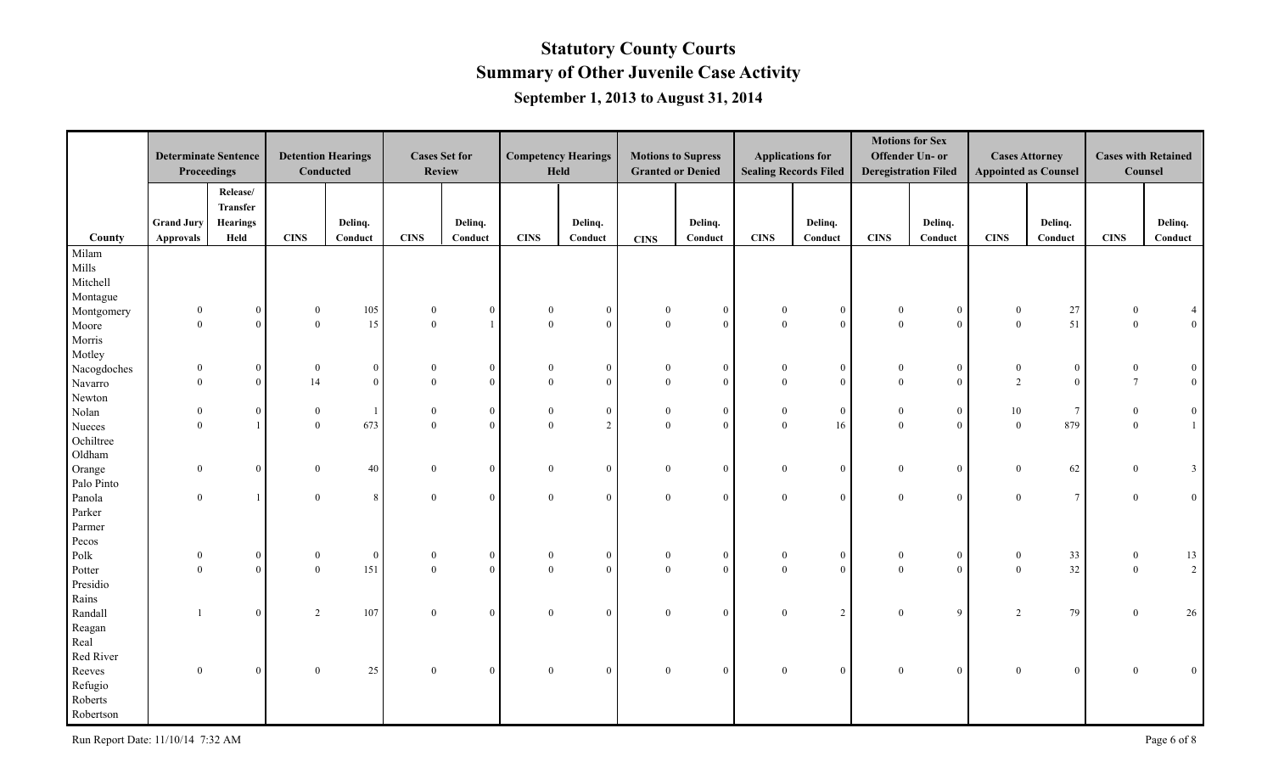|             | <b>Determinate Sentence</b><br>Proceedings |                                         | <b>Detention Hearings</b><br>Conducted |                |              | <b>Cases Set for</b><br><b>Review</b> |                | <b>Competency Hearings</b><br>Held |                          | <b>Motions to Supress</b><br><b>Granted or Denied</b> |                            | <b>Applications for</b><br><b>Sealing Records Filed</b> |                      | <b>Motions for Sex</b><br>Offender Un- or<br><b>Deregistration Filed</b> |                          | <b>Cases Attorney</b><br><b>Appointed as Counsel</b> | <b>Cases with Retained</b><br>Counsel |                 |
|-------------|--------------------------------------------|-----------------------------------------|----------------------------------------|----------------|--------------|---------------------------------------|----------------|------------------------------------|--------------------------|-------------------------------------------------------|----------------------------|---------------------------------------------------------|----------------------|--------------------------------------------------------------------------|--------------------------|------------------------------------------------------|---------------------------------------|-----------------|
|             | <b>Grand Jury</b>                          | Release/<br>Transfer<br><b>Hearings</b> |                                        | Delinq.        |              | Delinq.                               |                | Delinq.                            |                          | Delinq.                                               |                            | Delinq.                                                 |                      | Delinq.                                                                  |                          | Delinq.                                              |                                       | Delinq.         |
| County      | <b>Approvals</b>                           | Held                                    | <b>CINS</b>                            | Conduct        | <b>CINS</b>  | Conduct                               | <b>CINS</b>    | Conduct                            | <b>CINS</b>              | Conduct                                               | <b>CINS</b>                | Conduct                                                 | <b>CINS</b>          | Conduct                                                                  | <b>CINS</b>              | Conduct                                              | <b>CINS</b>                           | Conduct         |
| Milam       |                                            |                                         |                                        |                |              |                                       |                |                                    |                          |                                                       |                            |                                                         |                      |                                                                          |                          |                                                      |                                       |                 |
| Mills       |                                            |                                         |                                        |                |              |                                       |                |                                    |                          |                                                       |                            |                                                         |                      |                                                                          |                          |                                                      |                                       |                 |
| Mitchell    |                                            |                                         |                                        |                |              |                                       |                |                                    |                          |                                                       |                            |                                                         |                      |                                                                          |                          |                                                      |                                       |                 |
| Montague    |                                            |                                         |                                        |                |              |                                       |                |                                    |                          |                                                       |                            |                                                         |                      |                                                                          |                          |                                                      |                                       |                 |
| Montgomery  | $\mathbf{0}$                               | $\mathbf{0}$                            | $\mathbf{0}$                           | 105            | $\mathbf{0}$ | $\mathbf{0}$                          | $\overline{0}$ | $\boldsymbol{0}$                   | $\mathbf{0}$             | $\theta$                                              | $\Omega$                   | $\mathbf{0}$                                            | $\mathbf{0}$         | $\bf{0}$                                                                 | $\mathbf{0}$             | $27\,$                                               | $\theta$                              |                 |
| Moore       | $\Omega$                                   | $\theta$                                | $\theta$                               | 15             | $\Omega$     |                                       | $\theta$       | $\theta$                           | $\theta$                 | $\Omega$                                              | $\theta$                   | $\overline{0}$                                          | $\theta$             | $\mathbf{0}$                                                             | $\overline{0}$           | 51                                                   | $\overline{0}$                        | $\vert 0 \vert$ |
| Morris      |                                            |                                         |                                        |                |              |                                       |                |                                    |                          |                                                       |                            |                                                         |                      |                                                                          |                          |                                                      |                                       |                 |
| Motley      |                                            |                                         |                                        |                |              |                                       |                |                                    |                          |                                                       |                            |                                                         |                      |                                                                          |                          |                                                      |                                       |                 |
| Nacogdoches | $\theta$                                   | $\boldsymbol{0}$                        | $\boldsymbol{0}$                       | $\overline{0}$ |              | $\mathbf{0}$                          | $\theta$       | $\boldsymbol{0}$                   | $\boldsymbol{0}$         | $\mathbf{0}$                                          | $\boldsymbol{0}$           | $\mathbf{0}$                                            | $\bf{0}$             | $\bf{0}$                                                                 | $\boldsymbol{0}$         | $\mathbf{0}$                                         |                                       | $\overline{0}$  |
| Navarro     | $\mathbf{0}$                               | $\boldsymbol{0}$                        | 14                                     | $\theta$       | $\theta$     | $\overline{0}$                        | $\overline{0}$ | $\mathbf{0}$                       | $\theta$                 | $\theta$                                              | $\mathbf{0}$               | $\mathbf{0}$                                            | $\theta$             | $\boldsymbol{0}$                                                         | $\overline{2}$           | $\overline{0}$                                       | $7\phantom{.0}$                       | $\vert 0 \vert$ |
| Newton      |                                            |                                         |                                        |                |              |                                       |                |                                    |                          |                                                       |                            |                                                         |                      |                                                                          |                          |                                                      |                                       |                 |
| Nolan       | $\theta$                                   | $\mathbf{0}$                            | $\overline{0}$                         |                | $\mathbf{0}$ | $\overline{0}$                        | $\overline{0}$ | $\boldsymbol{0}$                   | $\mathbf{0}$             | $\overline{0}$                                        | $\mathbf{0}$               | $\overline{0}$                                          | $\mathbf{0}$         | $\bf{0}$                                                                 | 10                       | $7\overline{ }$                                      | $\mathbf{0}$                          | $\mathbf{0}$    |
| Nueces      | $\Omega$                                   |                                         | $\overline{0}$                         | 673            | $\theta$     | $\overline{0}$                        | $\theta$       | $\overline{2}$                     | $\theta$                 | $\Omega$                                              | $\theta$                   | 16                                                      | $\Omega$             | $\mathbf{0}$                                                             | $\theta$                 | 879                                                  | $\overline{0}$                        | $\mathbf{1}$    |
| Ochiltree   |                                            |                                         |                                        |                |              |                                       |                |                                    |                          |                                                       |                            |                                                         |                      |                                                                          |                          |                                                      |                                       |                 |
| Oldham      |                                            |                                         |                                        |                |              |                                       |                |                                    |                          |                                                       |                            |                                                         |                      |                                                                          |                          |                                                      |                                       |                 |
| Orange      | $\mathbf{0}$                               | $\mathbf{0}$                            | $\overline{0}$                         | 40             | $\mathbf{0}$ | $\overline{0}$                        | $\overline{0}$ | $\mathbf{0}$                       | $\overline{0}$           | $\mathbf{0}$                                          | $\mathbf{0}$               | $\overline{0}$                                          | $\overline{0}$       | $\mathbf{0}$                                                             | $\mathbf{0}$             | 62                                                   | $\theta$                              | 3 <sup>1</sup>  |
| Palo Pinto  |                                            |                                         |                                        |                |              |                                       |                |                                    |                          |                                                       |                            |                                                         |                      |                                                                          |                          |                                                      |                                       |                 |
| Panola      | $\theta$                                   |                                         | $\overline{0}$                         | 8              | $\mathbf{0}$ | $\overline{0}$                        | $\overline{0}$ | $\overline{0}$                     | $\overline{0}$           | $\theta$                                              | $\overline{0}$             | $\mathbf{0}$                                            | $\theta$             | $\mathbf{0}$                                                             | $\overline{0}$           | $7\overline{ }$                                      | $\overline{0}$                        | $\overline{0}$  |
| Parker      |                                            |                                         |                                        |                |              |                                       |                |                                    |                          |                                                       |                            |                                                         |                      |                                                                          |                          |                                                      |                                       |                 |
| Parmer      |                                            |                                         |                                        |                |              |                                       |                |                                    |                          |                                                       |                            |                                                         |                      |                                                                          |                          |                                                      |                                       |                 |
| Pecos       |                                            |                                         |                                        |                |              |                                       |                |                                    |                          |                                                       |                            |                                                         |                      |                                                                          |                          |                                                      |                                       |                 |
| Polk        | $\Omega$<br>$\Omega$                       | $\mathbf{0}$                            | $\mathbf{0}$                           | $\overline{0}$ | $\mathbf{0}$ | $\overline{0}$                        | $\theta$       | $\mathbf{0}$                       | $\mathbf{0}$<br>$\theta$ | $\overline{0}$<br>$\Omega$                            | $\overline{0}$<br>$\theta$ | $\overline{0}$                                          | $\theta$<br>$\Omega$ | $\mathbf{0}$                                                             | $\mathbf{0}$<br>$\theta$ | 33                                                   | $\mathbf{0}$                          | 13              |
| Potter      |                                            | $\overline{0}$                          | $\mathbf{0}$                           | 151            | $\mathbf{0}$ | $\overline{0}$                        | $\theta$       | $\overline{0}$                     |                          |                                                       |                            | $\overline{0}$                                          |                      | $\mathbf{0}$                                                             |                          | 32                                                   | $\overline{0}$                        | 2               |
| Presidio    |                                            |                                         |                                        |                |              |                                       |                |                                    |                          |                                                       |                            |                                                         |                      |                                                                          |                          |                                                      |                                       |                 |
| Rains       |                                            |                                         |                                        |                |              |                                       |                |                                    |                          |                                                       | $\theta$                   |                                                         |                      |                                                                          |                          |                                                      |                                       |                 |
| Randall     |                                            | $\overline{0}$                          | $\overline{c}$                         | 107            | $\theta$     | $\overline{0}$                        | $\overline{0}$ | $\mathbf{0}$                       | $\overline{0}$           | $\overline{0}$                                        |                            | $\overline{2}$                                          | $\theta$             | 9                                                                        | 2                        | 79                                                   | $\theta$                              | 26              |
| Reagan      |                                            |                                         |                                        |                |              |                                       |                |                                    |                          |                                                       |                            |                                                         |                      |                                                                          |                          |                                                      |                                       |                 |
| Real        |                                            |                                         |                                        |                |              |                                       |                |                                    |                          |                                                       |                            |                                                         |                      |                                                                          |                          |                                                      |                                       |                 |
| Red River   |                                            |                                         |                                        |                |              |                                       |                |                                    |                          |                                                       |                            |                                                         |                      |                                                                          |                          |                                                      |                                       |                 |
| Reeves      | $\mathbf{0}$                               | $\mathbf{0}$                            | $\boldsymbol{0}$                       | 25             | $\mathbf{0}$ | $\overline{0}$                        | $\overline{0}$ | $\mathbf{0}$                       | $\mathbf{0}$             | $\Omega$                                              | $\overline{0}$             | $\overline{0}$                                          | $\overline{0}$       | $\bf{0}$                                                                 | $\mathbf{0}$             | $\mathbf{0}$                                         | $\mathbf{0}$                          | $\overline{0}$  |
| Refugio     |                                            |                                         |                                        |                |              |                                       |                |                                    |                          |                                                       |                            |                                                         |                      |                                                                          |                          |                                                      |                                       |                 |
| Roberts     |                                            |                                         |                                        |                |              |                                       |                |                                    |                          |                                                       |                            |                                                         |                      |                                                                          |                          |                                                      |                                       |                 |
| Robertson   |                                            |                                         |                                        |                |              |                                       |                |                                    |                          |                                                       |                            |                                                         |                      |                                                                          |                          |                                                      |                                       |                 |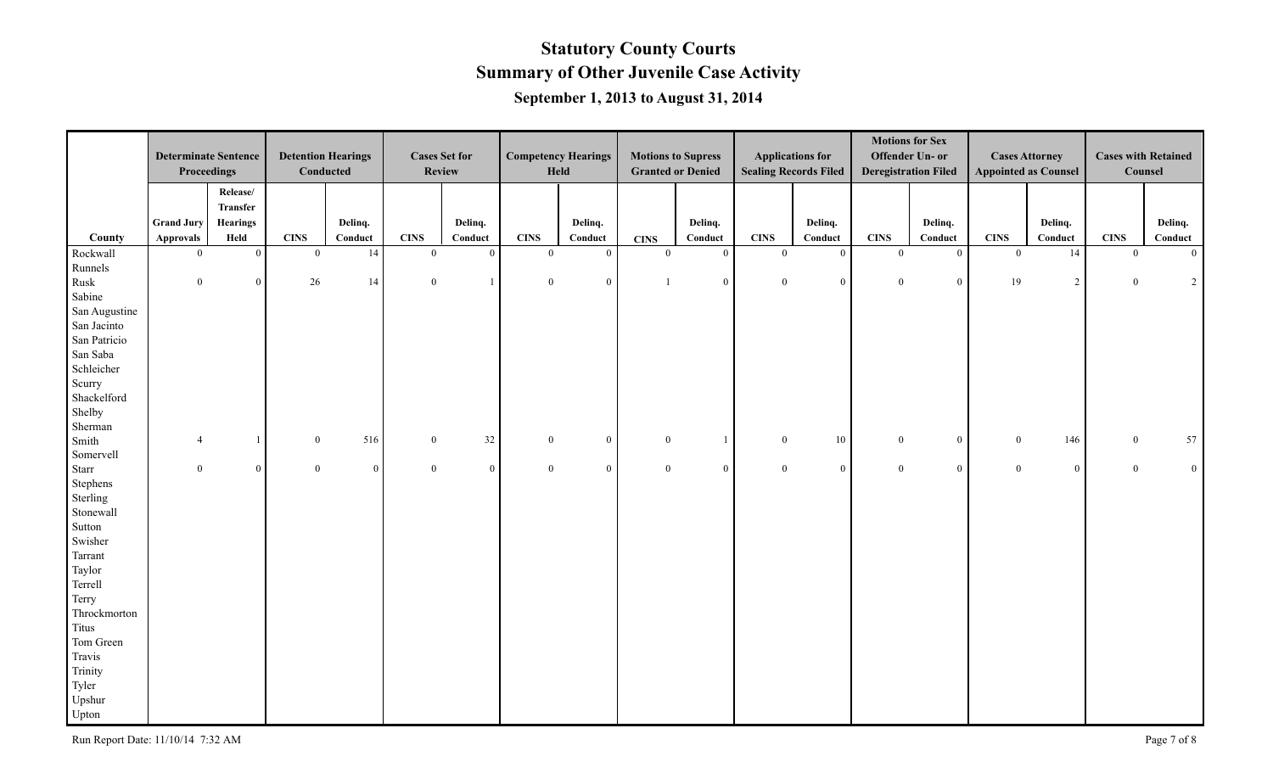|                              | <b>Determinate Sentence</b><br>Proceedings |                        | <b>Detention Hearings</b>     | Conducted       |                               | <b>Cases Set for</b><br><b>Review</b> |                         | <b>Competency Hearings</b><br>Held |                               | <b>Motions to Supress</b><br><b>Granted or Denied</b> |                             | <b>Applications for</b><br><b>Sealing Records Filed</b> |                         | <b>Motions for Sex</b><br>Offender Un- or<br><b>Deregistration Filed</b> |                               | <b>Cases Attorney</b><br><b>Appointed as Counsel</b> | Counsel                       | <b>Cases with Retained</b> |
|------------------------------|--------------------------------------------|------------------------|-------------------------------|-----------------|-------------------------------|---------------------------------------|-------------------------|------------------------------------|-------------------------------|-------------------------------------------------------|-----------------------------|---------------------------------------------------------|-------------------------|--------------------------------------------------------------------------|-------------------------------|------------------------------------------------------|-------------------------------|----------------------------|
|                              |                                            | Release/<br>Transfer   |                               |                 |                               |                                       |                         |                                    |                               |                                                       |                             |                                                         |                         |                                                                          |                               |                                                      |                               |                            |
|                              | <b>Grand Jury</b>                          | <b>Hearings</b>        |                               | Delinq.         |                               | Delinq.                               |                         | Delinq.                            |                               | Delinq.                                               |                             | Delinq.                                                 |                         | Delinq.                                                                  |                               | Delinq.                                              |                               | Delinq.                    |
| County                       | <b>Approvals</b><br>$\theta$               | Held<br>$\overline{0}$ | <b>CINS</b><br>$\overline{0}$ | Conduct<br>14   | <b>CINS</b><br>$\overline{0}$ | Conduct<br>$\overline{0}$             | <b>CINS</b><br>$\theta$ | Conduct<br>$\mathbf{0}$            | <b>CINS</b><br>$\overline{0}$ | Conduct<br>$\theta$                                   | <b>CINS</b><br>$\mathbf{0}$ | Conduct<br>$\overline{0}$                               | <b>CINS</b><br>$\theta$ | Conduct<br>$\mathbf{0}$                                                  | <b>CINS</b><br>$\overline{0}$ | Conduct<br>14                                        | <b>CINS</b><br>$\overline{0}$ | Conduct<br>$\overline{0}$  |
| Rockwall                     |                                            |                        |                               |                 |                               |                                       |                         |                                    |                               |                                                       |                             |                                                         |                         |                                                                          |                               |                                                      |                               |                            |
| Runnels                      | $\overline{0}$                             | $\bf{0}$               | 26                            | 14              | $\bf{0}$                      | $\mathbf{1}$                          | $\overline{0}$          | $\boldsymbol{0}$                   | $\overline{1}$                | $\overline{0}$                                        | $\overline{0}$              | $\overline{0}$                                          | $\mathbf{0}$            | $\bf{0}$                                                                 | 19                            | $\overline{2}$                                       | $\overline{0}$                | $\overline{2}$             |
| Rusk                         |                                            |                        |                               |                 |                               |                                       |                         |                                    |                               |                                                       |                             |                                                         |                         |                                                                          |                               |                                                      |                               |                            |
| Sabine                       |                                            |                        |                               |                 |                               |                                       |                         |                                    |                               |                                                       |                             |                                                         |                         |                                                                          |                               |                                                      |                               |                            |
| San Augustine<br>San Jacinto |                                            |                        |                               |                 |                               |                                       |                         |                                    |                               |                                                       |                             |                                                         |                         |                                                                          |                               |                                                      |                               |                            |
| San Patricio                 |                                            |                        |                               |                 |                               |                                       |                         |                                    |                               |                                                       |                             |                                                         |                         |                                                                          |                               |                                                      |                               |                            |
| San Saba                     |                                            |                        |                               |                 |                               |                                       |                         |                                    |                               |                                                       |                             |                                                         |                         |                                                                          |                               |                                                      |                               |                            |
| Schleicher                   |                                            |                        |                               |                 |                               |                                       |                         |                                    |                               |                                                       |                             |                                                         |                         |                                                                          |                               |                                                      |                               |                            |
| Scurry                       |                                            |                        |                               |                 |                               |                                       |                         |                                    |                               |                                                       |                             |                                                         |                         |                                                                          |                               |                                                      |                               |                            |
| Shackelford                  |                                            |                        |                               |                 |                               |                                       |                         |                                    |                               |                                                       |                             |                                                         |                         |                                                                          |                               |                                                      |                               |                            |
| Shelby                       |                                            |                        |                               |                 |                               |                                       |                         |                                    |                               |                                                       |                             |                                                         |                         |                                                                          |                               |                                                      |                               |                            |
| Sherman                      |                                            |                        |                               |                 |                               |                                       |                         |                                    |                               |                                                       |                             |                                                         |                         |                                                                          |                               |                                                      |                               |                            |
| Smith                        | $\boldsymbol{\vartriangle}$                |                        | $\overline{0}$                | 516             | $\overline{0}$                | 32                                    | $\overline{0}$          | $\mathbf{0}$                       | $\overline{0}$                |                                                       | $\boldsymbol{0}$            | 10                                                      | $\overline{0}$          | $\mathbf{0}$                                                             | $\mathbf{0}$                  | 146                                                  | $\overline{0}$                | 57                         |
| Somervell                    |                                            |                        |                               |                 |                               |                                       |                         |                                    |                               |                                                       |                             |                                                         |                         |                                                                          |                               |                                                      |                               |                            |
| Starr                        | $\overline{0}$                             | $\boldsymbol{0}$       | $\mathbf{0}$                  | $\vert 0 \vert$ | $\mathbf{0}$                  | $\overline{0}$                        | $\overline{0}$          | $\bf{0}$                           | $\mathbf{0}$                  | $\overline{0}$                                        | $\overline{0}$              | $\overline{0}$                                          | $\mathbf{0}$            | $\mathbf{0}$                                                             | $\mathbf{0}$                  | $\overline{0}$                                       | $\mathbf{0}$                  | $\vert 0 \vert$            |
| Stephens                     |                                            |                        |                               |                 |                               |                                       |                         |                                    |                               |                                                       |                             |                                                         |                         |                                                                          |                               |                                                      |                               |                            |
| Sterling                     |                                            |                        |                               |                 |                               |                                       |                         |                                    |                               |                                                       |                             |                                                         |                         |                                                                          |                               |                                                      |                               |                            |
| Stonewall                    |                                            |                        |                               |                 |                               |                                       |                         |                                    |                               |                                                       |                             |                                                         |                         |                                                                          |                               |                                                      |                               |                            |
| Sutton                       |                                            |                        |                               |                 |                               |                                       |                         |                                    |                               |                                                       |                             |                                                         |                         |                                                                          |                               |                                                      |                               |                            |
| Swisher                      |                                            |                        |                               |                 |                               |                                       |                         |                                    |                               |                                                       |                             |                                                         |                         |                                                                          |                               |                                                      |                               |                            |
| Tarrant                      |                                            |                        |                               |                 |                               |                                       |                         |                                    |                               |                                                       |                             |                                                         |                         |                                                                          |                               |                                                      |                               |                            |
| Taylor                       |                                            |                        |                               |                 |                               |                                       |                         |                                    |                               |                                                       |                             |                                                         |                         |                                                                          |                               |                                                      |                               |                            |
| Terrell                      |                                            |                        |                               |                 |                               |                                       |                         |                                    |                               |                                                       |                             |                                                         |                         |                                                                          |                               |                                                      |                               |                            |
| Terry                        |                                            |                        |                               |                 |                               |                                       |                         |                                    |                               |                                                       |                             |                                                         |                         |                                                                          |                               |                                                      |                               |                            |
| Throckmorton                 |                                            |                        |                               |                 |                               |                                       |                         |                                    |                               |                                                       |                             |                                                         |                         |                                                                          |                               |                                                      |                               |                            |
| Titus                        |                                            |                        |                               |                 |                               |                                       |                         |                                    |                               |                                                       |                             |                                                         |                         |                                                                          |                               |                                                      |                               |                            |
| Tom Green                    |                                            |                        |                               |                 |                               |                                       |                         |                                    |                               |                                                       |                             |                                                         |                         |                                                                          |                               |                                                      |                               |                            |
| Travis                       |                                            |                        |                               |                 |                               |                                       |                         |                                    |                               |                                                       |                             |                                                         |                         |                                                                          |                               |                                                      |                               |                            |
| Trinity                      |                                            |                        |                               |                 |                               |                                       |                         |                                    |                               |                                                       |                             |                                                         |                         |                                                                          |                               |                                                      |                               |                            |
| Tyler                        |                                            |                        |                               |                 |                               |                                       |                         |                                    |                               |                                                       |                             |                                                         |                         |                                                                          |                               |                                                      |                               |                            |
| Upshur                       |                                            |                        |                               |                 |                               |                                       |                         |                                    |                               |                                                       |                             |                                                         |                         |                                                                          |                               |                                                      |                               |                            |
| Upton                        |                                            |                        |                               |                 |                               |                                       |                         |                                    |                               |                                                       |                             |                                                         |                         |                                                                          |                               |                                                      |                               |                            |